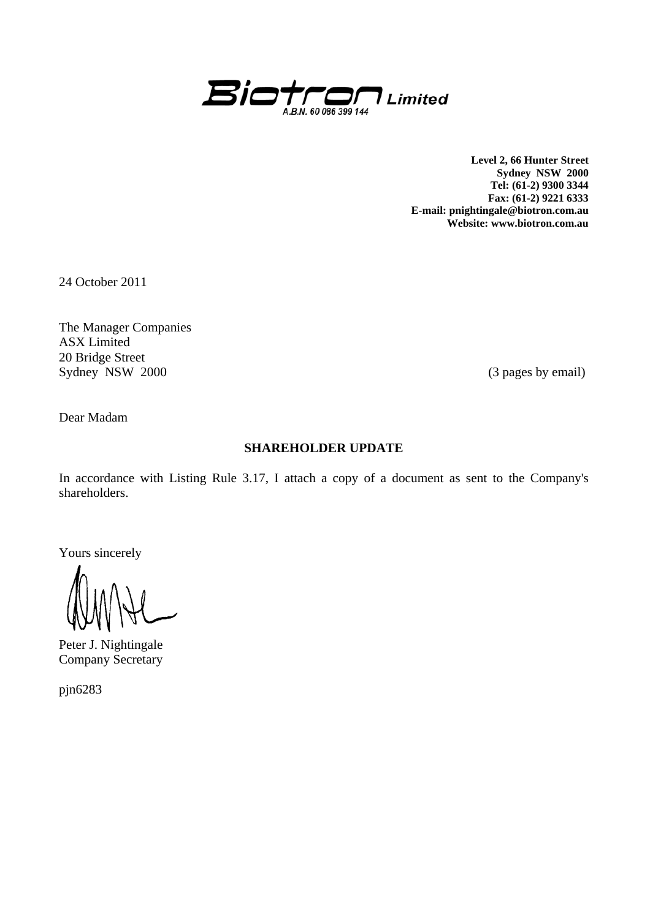

**Level 2, 66 Hunter Street Sydney NSW 2000 Tel: (61-2) 9300 3344 Fax: (61-2) 9221 6333 E-mail: pnightingale@biotron.com.au Website: www.biotron.com.au** 

24 October 2011

The Manager Companies ASX Limited 20 Bridge Street Sydney NSW 2000 (3 pages by email)

Dear Madam

# **SHAREHOLDER UPDATE**

In accordance with Listing Rule 3.17, I attach a copy of a document as sent to the Company's shareholders.

Yours sincerely

Peter J. Nightingale Company Secretary

pjn6283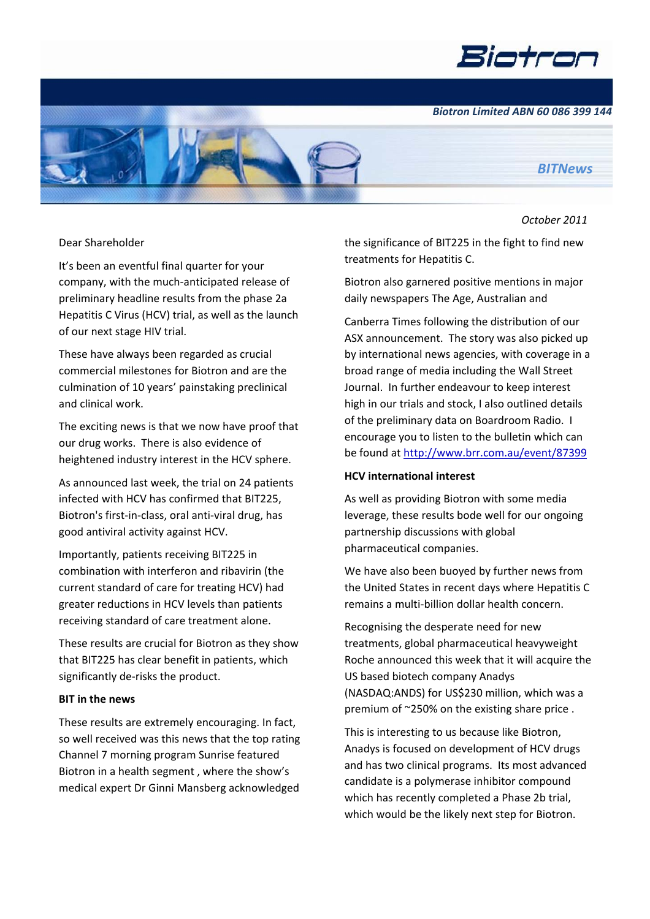

*Biotron Limited ABN 60 086 399 144*



### *October 2011*

*BITNews*

#### Dear Shareholder

It's been an eventful final quarter for your company, with the much‐anticipated release of preliminary headline results from the phase 2a Hepatitis C Virus (HCV) trial, as well as the launch of our next stage HIV trial.

These have always been regarded as crucial commercial milestones for Biotron and are the culmination of 10 years' painstaking preclinical and clinical work.

The exciting news is that we now have proof that our drug works. There is also evidence of heightened industry interest in the HCV sphere.

As announced last week, the trial on 24 patients infected with HCV has confirmed that BIT225, Biotron's first‐in‐class, oral anti‐viral drug, has good antiviral activity against HCV.

Importantly, patients receiving BIT225 in combination with interferon and ribavirin (the current standard of care for treating HCV) had greater reductions in HCV levels than patients receiving standard of care treatment alone.

These results are crucial for Biotron as they show that BIT225 has clear benefit in patients, which significantly de-risks the product.

### **BIT in the news**

These results are extremely encouraging. In fact, so well received was this news that the top rating Channel 7 morning program Sunrise featured Biotron in a health segment , where the show's medical expert Dr Ginni Mansberg acknowledged

the significance of BIT225 in the fight to find new treatments for Hepatitis C.

Biotron also garnered positive mentions in major daily newspapers The Age, Australian and

Canberra Times following the distribution of our ASX announcement. The story was also picked up by international news agencies, with coverage in a broad range of media including the Wall Street Journal. In further endeavour to keep interest high in our trials and stock, I also outlined details of the preliminary data on Boardroom Radio. I encourage you to listen to the bulletin which can be found at http://www.brr.com.au/event/87399

### **HCV international interest**

As well as providing Biotron with some media leverage, these results bode well for our ongoing partnership discussions with global pharmaceutical companies.

We have also been buoyed by further news from the United States in recent days where Hepatitis C remains a multi‐billion dollar health concern.

Recognising the desperate need for new treatments, global pharmaceutical heavyweight Roche announced this week that it will acquire the US based biotech company Anadys (NASDAQ:ANDS) for US\$230 million, which was a premium of ~250% on the existing share price .

This is interesting to us because like Biotron, Anadys is focused on development of HCV drugs and has two clinical programs. Its most advanced candidate is a polymerase inhibitor compound which has recently completed a Phase 2b trial, which would be the likely next step for Biotron.